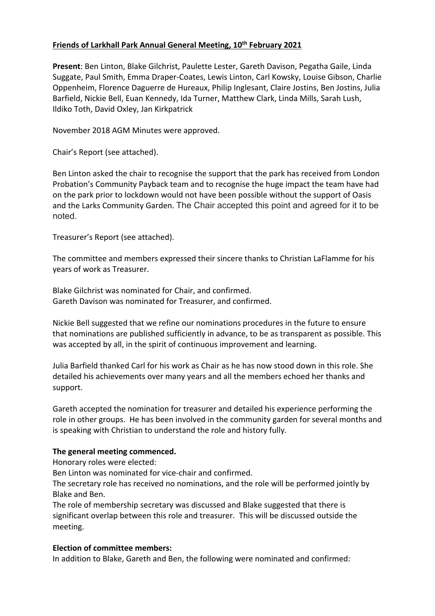## **Friends of Larkhall Park Annual General Meeting, 10th February 2021**

**Present**: Ben Linton, Blake Gilchrist, Paulette Lester, Gareth Davison, Pegatha Gaile, Linda Suggate, Paul Smith, Emma Draper-Coates, Lewis Linton, Carl Kowsky, Louise Gibson, Charlie Oppenheim, Florence Daguerre de Hureaux, Philip Inglesant, Claire Jostins, Ben Jostins, Julia Barfield, Nickie Bell, Euan Kennedy, Ida Turner, Matthew Clark, Linda Mills, Sarah Lush, Ildiko Toth, David Oxley, Jan Kirkpatrick

November 2018 AGM Minutes were approved.

Chair's Report (see attached).

Ben Linton asked the chair to recognise the support that the park has received from London Probation's Community Payback team and to recognise the huge impact the team have had on the park prior to lockdown would not have been possible without the support of Oasis and the Larks Community Garden. The Chair accepted this point and agreed for it to be noted.

Treasurer's Report (see attached).

The committee and members expressed their sincere thanks to Christian LaFlamme for his years of work as Treasurer.

Blake Gilchrist was nominated for Chair, and confirmed. Gareth Davison was nominated for Treasurer, and confirmed.

Nickie Bell suggested that we refine our nominations procedures in the future to ensure that nominations are published sufficiently in advance, to be as transparent as possible. This was accepted by all, in the spirit of continuous improvement and learning.

Julia Barfield thanked Carl for his work as Chair as he has now stood down in this role. She detailed his achievements over many years and all the members echoed her thanks and support.

Gareth accepted the nomination for treasurer and detailed his experience performing the role in other groups. He has been involved in the community garden for several months and is speaking with Christian to understand the role and history fully.

## **The general meeting commenced.**

Honorary roles were elected:

Ben Linton was nominated for vice-chair and confirmed.

The secretary role has received no nominations, and the role will be performed jointly by Blake and Ben.

The role of membership secretary was discussed and Blake suggested that there is significant overlap between this role and treasurer. This will be discussed outside the meeting.

## **Election of committee members:**

In addition to Blake, Gareth and Ben, the following were nominated and confirmed: